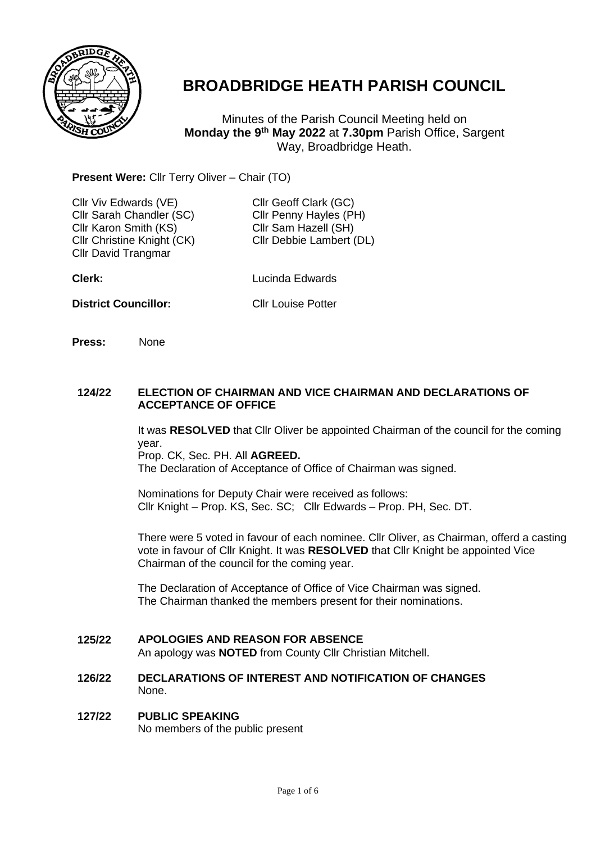

# **BROADBRIDGE HEATH PARISH COUNCIL**

Minutes of the Parish Council Meeting held on **Monday the 9 th May 2022** at **7.30pm** Parish Office, Sargent Way, Broadbridge Heath.

# **Present Were:** Cllr Terry Oliver – Chair (TO)

| Cllr Viv Edwards (VE)<br>Cllr Sarah Chandler (SC)<br>Cllr Karon Smith (KS)<br>Cllr Christine Knight (CK)<br><b>Cllr David Trangmar</b> | Cllr Geoff Clark (GC)<br>Cllr Penny Hayles (PH)<br>Cllr Sam Hazell (SH)<br>Cllr Debbie Lambert (DL) |
|----------------------------------------------------------------------------------------------------------------------------------------|-----------------------------------------------------------------------------------------------------|
| Clerk:                                                                                                                                 | Lucinda Edwards                                                                                     |
| <b>District Councillor:</b>                                                                                                            | <b>Cllr Louise Potter</b>                                                                           |

**Press:** None

### **124/22 ELECTION OF CHAIRMAN AND VICE CHAIRMAN AND DECLARATIONS OF ACCEPTANCE OF OFFICE**

It was **RESOLVED** that Cllr Oliver be appointed Chairman of the council for the coming year. Prop. CK, Sec. PH. All **AGREED.**

The Declaration of Acceptance of Office of Chairman was signed.

Nominations for Deputy Chair were received as follows: Cllr Knight – Prop. KS, Sec. SC; Cllr Edwards – Prop. PH, Sec. DT.

There were 5 voted in favour of each nominee. Cllr Oliver, as Chairman, offerd a casting vote in favour of Cllr Knight. It was **RESOLVED** that Cllr Knight be appointed Vice Chairman of the council for the coming year.

The Declaration of Acceptance of Office of Vice Chairman was signed. The Chairman thanked the members present for their nominations.

#### **125/22 APOLOGIES AND REASON FOR ABSENCE**

An apology was **NOTED** from County Cllr Christian Mitchell.

# **126/22 DECLARATIONS OF INTEREST AND NOTIFICATION OF CHANGES** None.

## **127/22 PUBLIC SPEAKING** No members of the public present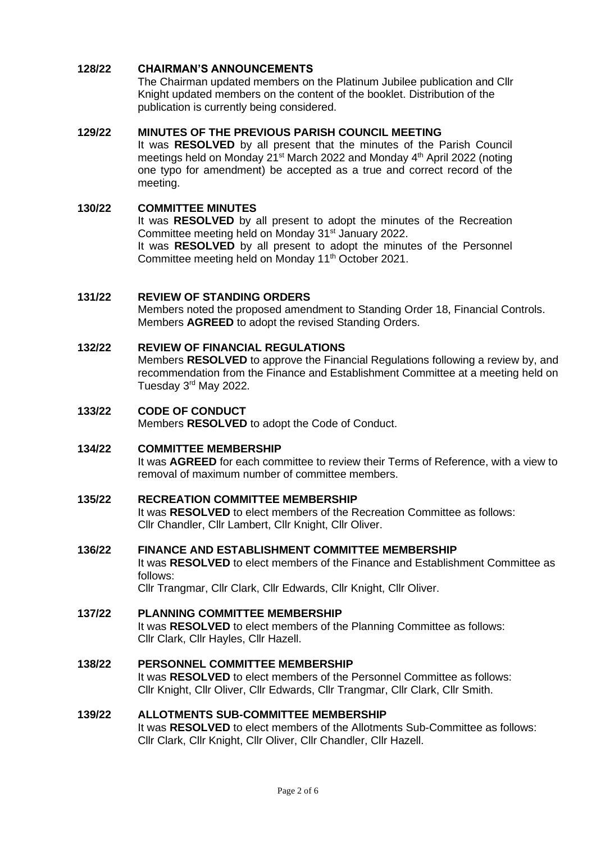#### **128/22 CHAIRMAN'S ANNOUNCEMENTS**

The Chairman updated members on the Platinum Jubilee publication and Cllr Knight updated members on the content of the booklet. Distribution of the publication is currently being considered.

#### **129/22 MINUTES OF THE PREVIOUS PARISH COUNCIL MEETING**

It was **RESOLVED** by all present that the minutes of the Parish Council meetings held on Monday 21<sup>st</sup> March 2022 and Monday 4<sup>th</sup> April 2022 (noting one typo for amendment) be accepted as a true and correct record of the meeting.

#### **130/22 COMMITTEE MINUTES**

It was **RESOLVED** by all present to adopt the minutes of the Recreation Committee meeting held on Monday 31<sup>st</sup> January 2022. It was **RESOLVED** by all present to adopt the minutes of the Personnel Committee meeting held on Monday 11<sup>th</sup> October 2021.

#### **131/22 REVIEW OF STANDING ORDERS**

Members noted the proposed amendment to Standing Order 18, Financial Controls. Members **AGREED** to adopt the revised Standing Orders.

#### **132/22 REVIEW OF FINANCIAL REGULATIONS**

Members **RESOLVED** to approve the Financial Regulations following a review by, and recommendation from the Finance and Establishment Committee at a meeting held on Tuesday 3rd May 2022.

### **133/22 CODE OF CONDUCT** Members **RESOLVED** to adopt the Code of Conduct.

#### **134/22 COMMITTEE MEMBERSHIP**

It was **AGREED** for each committee to review their Terms of Reference, with a view to removal of maximum number of committee members.

#### **135/22 RECREATION COMMITTEE MEMBERSHIP**

It was **RESOLVED** to elect members of the Recreation Committee as follows: Cllr Chandler, Cllr Lambert, Cllr Knight, Cllr Oliver.

#### **136/22 FINANCE AND ESTABLISHMENT COMMITTEE MEMBERSHIP**

It was **RESOLVED** to elect members of the Finance and Establishment Committee as follows:

Cllr Trangmar, Cllr Clark, Cllr Edwards, Cllr Knight, Cllr Oliver.

#### **137/22 PLANNING COMMITTEE MEMBERSHIP**

It was **RESOLVED** to elect members of the Planning Committee as follows: Cllr Clark, Cllr Hayles, Cllr Hazell.

### **138/22 PERSONNEL COMMITTEE MEMBERSHIP** It was **RESOLVED** to elect members of the Personnel Committee as follows: Cllr Knight, Cllr Oliver, Cllr Edwards, Cllr Trangmar, Cllr Clark, Cllr Smith.

### **139/22 ALLOTMENTS SUB-COMMITTEE MEMBERSHIP** It was **RESOLVED** to elect members of the Allotments Sub-Committee as follows: Cllr Clark, Cllr Knight, Cllr Oliver, Cllr Chandler, Cllr Hazell.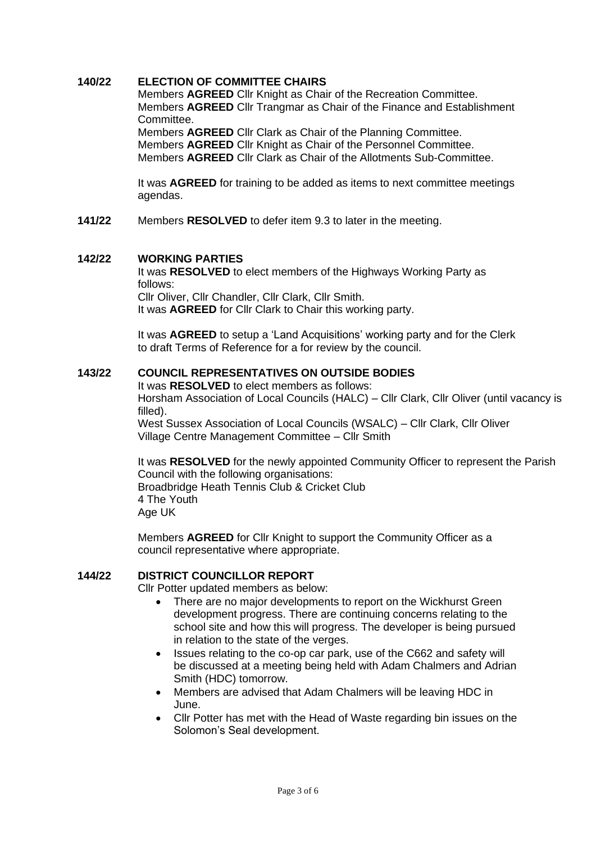#### **140/22 ELECTION OF COMMITTEE CHAIRS**

Members **AGREED** Cllr Knight as Chair of the Recreation Committee. Members **AGREED** Cllr Trangmar as Chair of the Finance and Establishment **Committee.** 

Members **AGREED** Cllr Clark as Chair of the Planning Committee. Members **AGREED** Cllr Knight as Chair of the Personnel Committee. Members **AGREED** Cllr Clark as Chair of the Allotments Sub-Committee.

It was **AGREED** for training to be added as items to next committee meetings agendas.

**141/22** Members **RESOLVED** to defer item 9.3 to later in the meeting.

#### **142/22 WORKING PARTIES**

It was **RESOLVED** to elect members of the Highways Working Party as follows: Cllr Oliver, Cllr Chandler, Cllr Clark, Cllr Smith.

It was **AGREED** for Cllr Clark to Chair this working party.

It was **AGREED** to setup a 'Land Acquisitions' working party and for the Clerk to draft Terms of Reference for a for review by the council.

#### **143/22 COUNCIL REPRESENTATIVES ON OUTSIDE BODIES**

It was **RESOLVED** to elect members as follows: Horsham Association of Local Councils (HALC) – Cllr Clark, Cllr Oliver (until vacancy is filled).

West Sussex Association of Local Councils (WSALC) – Cllr Clark, Cllr Oliver Village Centre Management Committee – Cllr Smith

It was **RESOLVED** for the newly appointed Community Officer to represent the Parish Council with the following organisations: Broadbridge Heath Tennis Club & Cricket Club 4 The Youth Age UK

Members **AGREED** for Cllr Knight to support the Community Officer as a council representative where appropriate.

#### **144/22 DISTRICT COUNCILLOR REPORT**

Cllr Potter updated members as below:

- There are no major developments to report on the Wickhurst Green development progress. There are continuing concerns relating to the school site and how this will progress. The developer is being pursued in relation to the state of the verges.
- Issues relating to the co-op car park, use of the C662 and safety will be discussed at a meeting being held with Adam Chalmers and Adrian Smith (HDC) tomorrow.
- Members are advised that Adam Chalmers will be leaving HDC in June.
- Cllr Potter has met with the Head of Waste regarding bin issues on the Solomon's Seal development.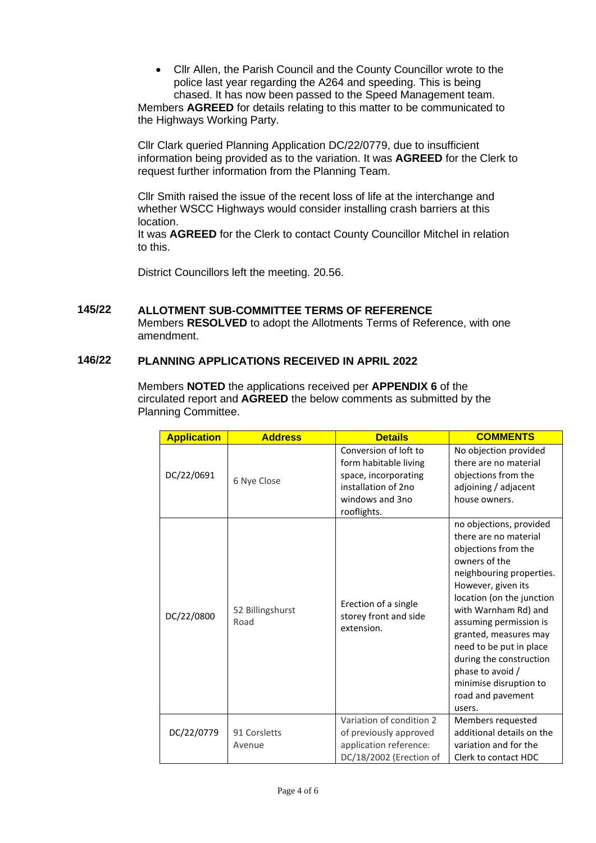• Cllr Allen, the Parish Council and the County Councillor wrote to the police last year regarding the A264 and speeding. This is being chased. It has now been passed to the Speed Management team.

Members **AGREED** for details relating to this matter to be communicated to the Highways Working Party.

Cllr Clark queried Planning Application DC/22/0779, due to insufficient information being provided as to the variation. It was **AGREED** for the Clerk to request further information from the Planning Team.

Cllr Smith raised the issue of the recent loss of life at the interchange and whether WSCC Highways would consider installing crash barriers at this location.

It was **AGREED** for the Clerk to contact County Councillor Mitchel in relation to this.

District Councillors left the meeting. 20.56.

### **145/22 ALLOTMENT SUB-COMMITTEE TERMS OF REFERENCE** Members **RESOLVED** to adopt the Allotments Terms of Reference, with one amendment.

#### **146/22 PLANNING APPLICATIONS RECEIVED IN APRIL 2022**

Members **NOTED** the applications received per **APPENDIX 6** of the circulated report and **AGREED** the below comments as submitted by the Planning Committee.

| <b>Application</b> | <b>Address</b>           | <b>Details</b>                                                                                                                  | <b>COMMENTS</b>                                                                                                                                                                                                                                                                                                                                                                       |
|--------------------|--------------------------|---------------------------------------------------------------------------------------------------------------------------------|---------------------------------------------------------------------------------------------------------------------------------------------------------------------------------------------------------------------------------------------------------------------------------------------------------------------------------------------------------------------------------------|
| DC/22/0691         | 6 Nye Close              | Conversion of loft to<br>form habitable living<br>space, incorporating<br>installation of 2no<br>windows and 3no<br>rooflights. | No objection provided<br>there are no material<br>objections from the<br>adjoining / adjacent<br>house owners.                                                                                                                                                                                                                                                                        |
| DC/22/0800         | 52 Billingshurst<br>Road | Erection of a single<br>storey front and side<br>extension.                                                                     | no objections, provided<br>there are no material<br>objections from the<br>owners of the<br>neighbouring properties.<br>However, given its<br>location (on the junction<br>with Warnham Rd) and<br>assuming permission is<br>granted, measures may<br>need to be put in place<br>during the construction<br>phase to avoid /<br>minimise disruption to<br>road and pavement<br>users. |
|                    |                          | Variation of condition 2                                                                                                        | Members requested                                                                                                                                                                                                                                                                                                                                                                     |
| DC/22/0779         | 91 Corsletts             | of previously approved                                                                                                          | additional details on the                                                                                                                                                                                                                                                                                                                                                             |
|                    | Avenue                   | application reference:                                                                                                          | variation and for the                                                                                                                                                                                                                                                                                                                                                                 |
|                    |                          | DC/18/2002 (Erection of                                                                                                         | Clerk to contact HDC                                                                                                                                                                                                                                                                                                                                                                  |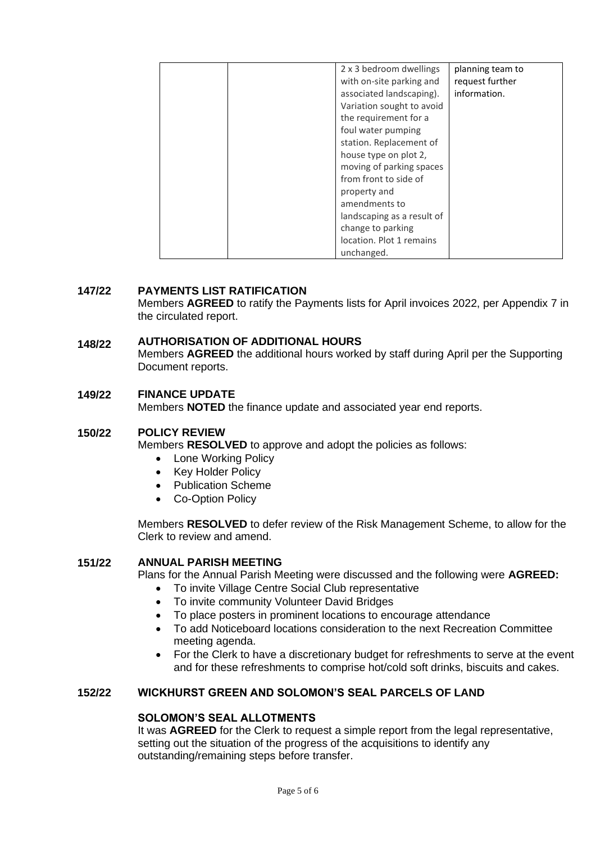|  | 2 x 3 bedroom dwellings    | planning team to |
|--|----------------------------|------------------|
|  | with on-site parking and   | request further  |
|  | associated landscaping).   | information.     |
|  | Variation sought to avoid  |                  |
|  | the requirement for a      |                  |
|  | foul water pumping         |                  |
|  | station. Replacement of    |                  |
|  | house type on plot 2,      |                  |
|  | moving of parking spaces   |                  |
|  | from front to side of      |                  |
|  | property and               |                  |
|  | amendments to              |                  |
|  | landscaping as a result of |                  |
|  | change to parking          |                  |
|  | location. Plot 1 remains   |                  |
|  | unchanged.                 |                  |

#### **147/22 PAYMENTS LIST RATIFICATION**

Members **AGREED** to ratify the Payments lists for April invoices 2022, per Appendix 7 in the circulated report.

#### **148/22 AUTHORISATION OF ADDITIONAL HOURS**

Members **AGREED** the additional hours worked by staff during April per the Supporting Document reports.

#### **149/22 FINANCE UPDATE**

Members **NOTED** the finance update and associated year end reports.

#### **150/22 POLICY REVIEW**

Members **RESOLVED** to approve and adopt the policies as follows:

- Lone Working Policy
- Key Holder Policy
- Publication Scheme
- Co-Option Policy

Members **RESOLVED** to defer review of the Risk Management Scheme, to allow for the Clerk to review and amend.

#### **151/22 ANNUAL PARISH MEETING**

Plans for the Annual Parish Meeting were discussed and the following were **AGREED:**

- To invite Village Centre Social Club representative
- To invite community Volunteer David Bridges
- To place posters in prominent locations to encourage attendance
- To add Noticeboard locations consideration to the next Recreation Committee meeting agenda.
- For the Clerk to have a discretionary budget for refreshments to serve at the event and for these refreshments to comprise hot/cold soft drinks, biscuits and cakes.

#### **152/22 WICKHURST GREEN AND SOLOMON'S SEAL PARCELS OF LAND**

# **SOLOMON'S SEAL ALLOTMENTS**

It was **AGREED** for the Clerk to request a simple report from the legal representative, setting out the situation of the progress of the acquisitions to identify any outstanding/remaining steps before transfer.